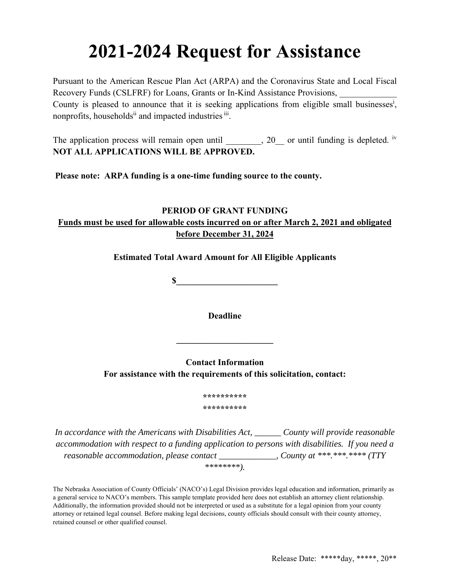# **2021-2024 Request for Assistance**

Pursuant to the American Rescue Plan Act (ARPA) and the Coronavirus State and Local Fiscal Recovery Funds (CSLFRF) for Loans, Grants or In-Kind Assistance Provisions, County is pleased to announce that it is seeking applications from eligible small businesses<sup>i</sup>, nonprofits, households<sup>ii</sup> and impacted industries iii.

The application process will remain open until \_\_\_\_\_\_\_, 20\_\_ or until funding is depleted. iv **NOT ALL APPLICATIONS WILL BE APPROVED.** 

**Please note: ARPA funding is a one-time funding source to the county.** 

# **PERIOD OF GRANT FUNDING Funds must be used for allowable costs incurred on or after March 2, 2021 and obligated before December 31, 2024**

**Estimated Total Award Amount for All Eligible Applicants** 

 $\mathbf S$ 

**Deadline** 

**\_\_\_\_\_\_\_\_\_\_\_\_\_\_\_\_\_\_\_\_\_\_** 

**Contact Information For assistance with the requirements of this solicitation, contact:** 

> **\*\*\*\*\*\*\*\*\*\* \*\*\*\*\*\*\*\*\*\***

*In accordance with the Americans with Disabilities Act, \_\_\_\_\_\_ County will provide reasonable accommodation with respect to a funding application to persons with disabilities. If you need a reasonable accommodation, please contact \_\_\_\_\_\_\_\_\_\_\_\_\_, County at \*\*\*.\*\*\*\*\*\*\*\* (TTY \*\*\*\*\*\*\*\*).* 

The Nebraska Association of County Officials' (NACO's) Legal Division provides legal education and information, primarily as a general service to NACO's members. This sample template provided here does not establish an attorney client relationship. Additionally, the information provided should not be interpreted or used as a substitute for a legal opinion from your county attorney or retained legal counsel. Before making legal decisions, county officials should consult with their county attorney, retained counsel or other qualified counsel.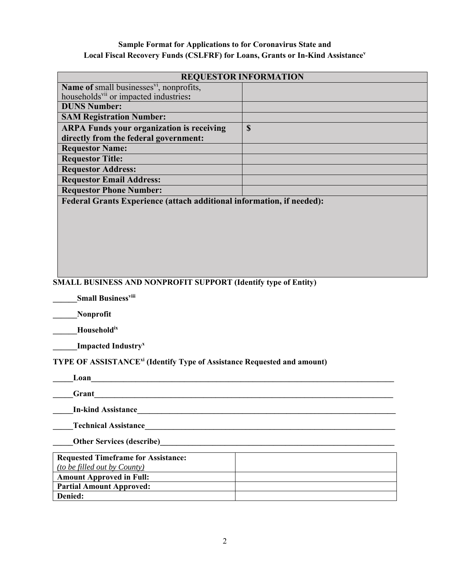## **Sample Format for Applications to for Coronavirus State and**  Local Fiscal Recovery Funds (CSLFRF) for Loans, Grants or In-Kind Assistance<sup>v</sup>

| <b>REQUESTOR INFORMATION</b>                                                 |             |
|------------------------------------------------------------------------------|-------------|
| <b>Name of small businesses</b> $v_1$ , nonprofits,                          |             |
| households <sup>vii</sup> or impacted industries:                            |             |
| <b>DUNS Number:</b>                                                          |             |
| <b>SAM Registration Number:</b>                                              |             |
| <b>ARPA Funds your organization is receiving</b>                             | $\mathbf S$ |
| directly from the federal government:                                        |             |
| <b>Requestor Name:</b>                                                       |             |
| <b>Requestor Title:</b>                                                      |             |
| <b>Requestor Address:</b>                                                    |             |
| <b>Requestor Email Address:</b>                                              |             |
| <b>Requestor Phone Number:</b>                                               |             |
| <b>Federal Grants Experience (attach additional information, if needed):</b> |             |
|                                                                              |             |
|                                                                              |             |
|                                                                              |             |
|                                                                              |             |
|                                                                              |             |
|                                                                              |             |
|                                                                              |             |
|                                                                              |             |
| <b>SMALL BUSINESS AND NONPROFIT SUPPORT (Identify type of Entity)</b>        |             |
| <b>Small Business</b> viii                                                   |             |
| Nonprofit                                                                    |             |

**\_\_\_\_\_\_Householdix** 

**11** Impacted Industry<sup>x</sup>

**TYPE OF ASSISTANCExi (Identify Type of Assistance Requested and amount)** 

| Loan                               |                                              |
|------------------------------------|----------------------------------------------|
| Grant                              |                                              |
| <b>In-kind Assistance</b>          |                                              |
| <b>Technical Assistance</b>        |                                              |
|                                    | Other Services (describe)<br><u>Describe</u> |
| Requested Timeframe for Assistance |                                              |

| <b>Requested Timeframe for Assistance:</b> |  |
|--------------------------------------------|--|
| <i>(to be filled out by County)</i>        |  |
| <b>Amount Approved in Full:</b>            |  |
| <b>Partial Amount Approved:</b>            |  |
| Denied:                                    |  |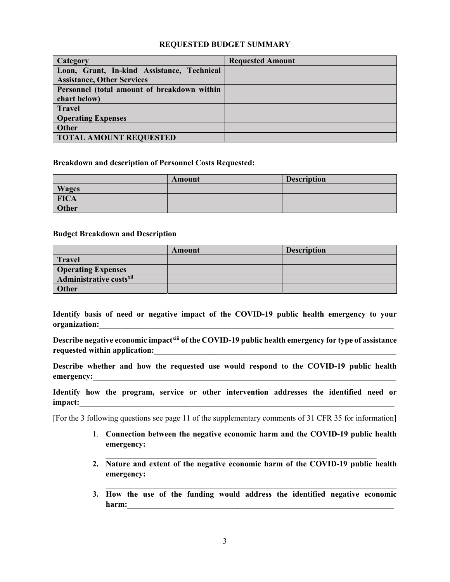### **REQUESTED BUDGET SUMMARY**

| <b>Category</b>                             | <b>Requested Amount</b> |
|---------------------------------------------|-------------------------|
| Loan, Grant, In-kind Assistance, Technical  |                         |
| <b>Assistance, Other Services</b>           |                         |
| Personnel (total amount of breakdown within |                         |
| chart below)                                |                         |
| <b>Travel</b>                               |                         |
| <b>Operating Expenses</b>                   |                         |
| Other                                       |                         |
| <b>TOTAL AMOUNT REQUESTED</b>               |                         |

#### **Breakdown and description of Personnel Costs Requested:**

|              | Amount | <b>Description</b> |
|--------------|--------|--------------------|
| <b>Wages</b> |        |                    |
| <b>FICA</b>  |        |                    |
| Other        |        |                    |

#### **Budget Breakdown and Description**

|                                     | Amount | <b>Description</b> |
|-------------------------------------|--------|--------------------|
| <b>Travel</b>                       |        |                    |
| <b>Operating Expenses</b>           |        |                    |
| Administrative costs <sup>xii</sup> |        |                    |
| Other                               |        |                    |

**Identify basis of need or negative impact of the COVID-19 public health emergency to your**  organization:

Describe negative economic impact<sup>xiii</sup> of the COVID-19 public health emergency for type of assistance requested within application:

**Describe whether and how the requested use would respond to the COVID-19 public health emergency:\_\_\_\_\_\_\_\_\_\_\_\_\_\_\_\_\_\_\_\_\_\_\_\_\_\_\_\_\_\_\_\_\_\_\_\_\_\_\_\_\_\_\_\_\_\_\_\_\_\_\_\_\_\_\_\_\_\_\_\_\_\_\_\_\_\_\_\_\_\_\_\_\_\_\_** 

**Identify how the program, service or other intervention addresses the identified need or impact:\_\_\_\_\_\_\_\_\_\_\_\_\_\_\_\_\_\_\_\_\_\_\_\_\_\_\_\_\_\_\_\_\_\_\_\_\_\_\_\_\_\_\_\_\_\_\_\_\_\_\_\_\_\_\_\_\_\_\_\_\_\_\_\_\_\_\_\_\_\_\_\_\_\_\_\_\_\_** 

[For the 3 following questions see page 11 of the supplementary comments of 31 CFR 35 for information]

- 1. **Connection between the negative economic harm and the COVID-19 public health emergency:**
- **2. Nature and extent of the negative economic harm of the COVID-19 public health emergency:**
- **3. How the use of the funding would address the identified negative economic harm:\_\_\_\_\_\_\_\_\_\_\_\_\_\_\_\_\_\_\_\_\_\_\_\_\_\_\_\_\_\_\_\_\_\_\_\_\_\_\_\_\_\_\_\_\_\_\_\_\_\_\_\_\_\_\_\_\_\_\_\_\_\_\_\_\_\_**

**\_\_\_\_\_\_\_\_\_\_\_\_\_\_\_\_\_\_\_\_\_\_\_\_\_\_\_\_\_\_\_\_\_\_\_\_\_\_\_\_\_\_\_\_\_\_\_\_\_\_\_\_\_\_\_\_\_\_\_\_\_\_\_\_\_\_\_\_\_\_\_\_**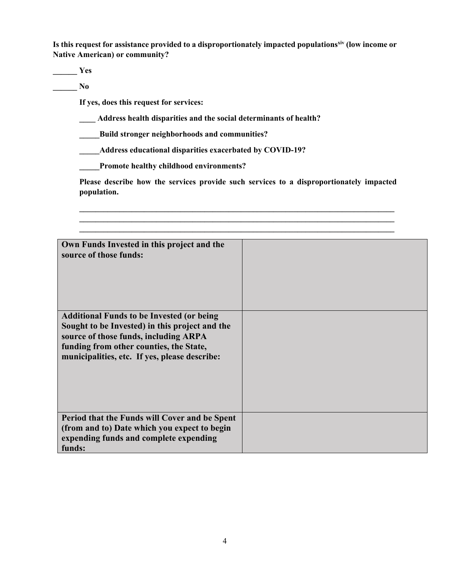Is this request for assistance provided to a disproportionately impacted populations<sup>xiv</sup> (low income or **Native American) or community?** 

**\_\_\_\_\_\_ Yes** 

**\_\_\_\_\_\_ No** 

**If yes, does this request for services:** 

**\_\_\_\_ Address health disparities and the social determinants of health?** 

**\_\_\_\_\_Build stronger neighborhoods and communities?** 

**\_\_\_\_\_Address educational disparities exacerbated by COVID-19?** 

**\_\_\_\_\_Promote healthy childhood environments?** 

**Please describe how the services provide such services to a disproportionately impacted population.** 

**\_\_\_\_\_\_\_\_\_\_\_\_\_\_\_\_\_\_\_\_\_\_\_\_\_\_\_\_\_\_\_\_\_\_\_\_\_\_\_\_\_\_\_\_\_\_\_\_\_\_\_\_\_\_\_\_\_\_\_\_\_\_\_\_\_\_\_\_\_\_\_\_\_\_\_\_\_\_ \_\_\_\_\_\_\_\_\_\_\_\_\_\_\_\_\_\_\_\_\_\_\_\_\_\_\_\_\_\_\_\_\_\_\_\_\_\_\_\_\_\_\_\_\_\_\_\_\_\_\_\_\_\_\_\_\_\_\_\_\_\_\_\_\_\_\_\_\_\_\_\_\_\_\_\_\_\_**

| Own Funds Invested in this project and the<br>source of those funds:                                                                                                                                                                    |  |
|-----------------------------------------------------------------------------------------------------------------------------------------------------------------------------------------------------------------------------------------|--|
| <b>Additional Funds to be Invested (or being</b><br>Sought to be Invested) in this project and the<br>source of those funds, including ARPA<br>funding from other counties, the State,<br>municipalities, etc. If yes, please describe: |  |
| Period that the Funds will Cover and be Spent<br>(from and to) Date which you expect to begin                                                                                                                                           |  |
| expending funds and complete expending                                                                                                                                                                                                  |  |
| funds:                                                                                                                                                                                                                                  |  |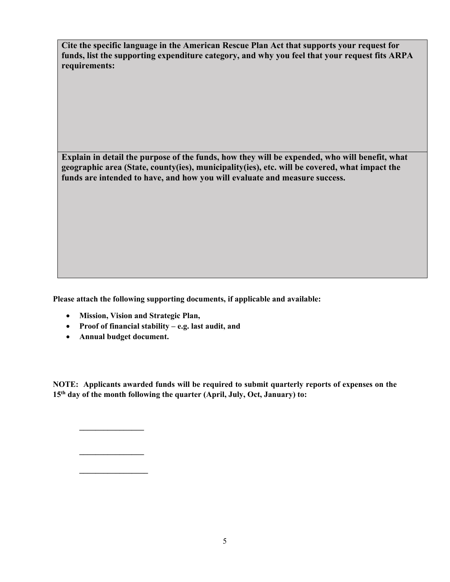**Cite the specific language in the American Rescue Plan Act that supports your request for funds, list the supporting expenditure category, and why you feel that your request fits ARPA requirements:** 

**Explain in detail the purpose of the funds, how they will be expended, who will benefit, what geographic area (State, county(ies), municipality(ies), etc. will be covered, what impact the funds are intended to have, and how you will evaluate and measure success.** 

**Please attach the following supporting documents, if applicable and available:** 

- **Mission, Vision and Strategic Plan,**
- **Proof of financial stability e.g. last audit, and**
- **Annual budget document.**

 **\_\_\_\_\_\_\_\_\_\_\_\_\_\_\_\_** 

 **\_\_\_\_\_\_\_\_\_\_\_\_\_\_\_\_** 

 **\_\_\_\_\_\_\_\_\_\_\_\_\_\_\_\_\_** 

**NOTE: Applicants awarded funds will be required to submit quarterly reports of expenses on the 15th day of the month following the quarter (April, July, Oct, January) to:**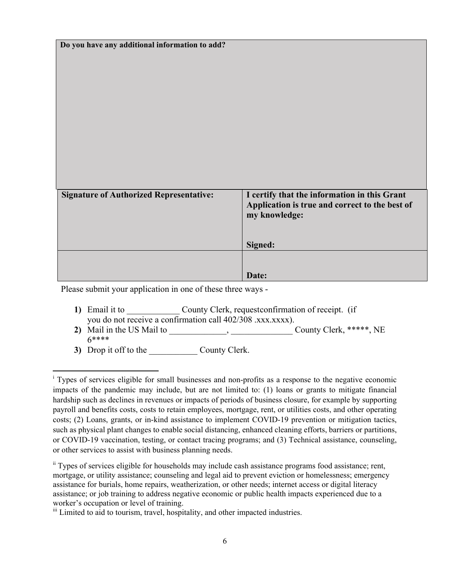| Do you have any additional information to add? |                                                                                                |
|------------------------------------------------|------------------------------------------------------------------------------------------------|
|                                                |                                                                                                |
|                                                |                                                                                                |
|                                                |                                                                                                |
|                                                |                                                                                                |
|                                                |                                                                                                |
|                                                |                                                                                                |
|                                                |                                                                                                |
|                                                |                                                                                                |
|                                                |                                                                                                |
|                                                |                                                                                                |
| <b>Signature of Authorized Representative:</b> | I certify that the information in this Grant<br>Application is true and correct to the best of |
|                                                | my knowledge:                                                                                  |
|                                                |                                                                                                |
|                                                | Signed:                                                                                        |
|                                                |                                                                                                |
|                                                | Date:                                                                                          |

Please submit your application in one of these three ways -

- **1)** Email it to \_\_\_\_\_\_\_\_\_\_\_\_\_\_ County Clerk, request confirmation of receipt. (if you do not receive a confirmation call 402/308 .xxx.xxxx).
- 2) Mail in the US Mail to \_\_\_\_\_\_\_\_\_\_\_, \_\_\_\_\_\_\_\_\_\_\_\_\_\_\_\_\_\_\_\_\_\_County Clerk, \*\*\*\*\*, NE 6\*\*\*\*
- 3) Drop it off to the County Clerk.

<sup>&</sup>lt;sup>i</sup> Types of services eligible for small businesses and non-profits as a response to the negative economic impacts of the pandemic may include, but are not limited to: (1) loans or grants to mitigate financial hardship such as declines in revenues or impacts of periods of business closure, for example by supporting payroll and benefits costs, costs to retain employees, mortgage, rent, or utilities costs, and other operating costs; (2) Loans, grants, or in-kind assistance to implement COVID-19 prevention or mitigation tactics, such as physical plant changes to enable social distancing, enhanced cleaning efforts, barriers or partitions, or COVID-19 vaccination, testing, or contact tracing programs; and (3) Technical assistance, counseling, or other services to assist with business planning needs.

ii Types of services eligible for households may include cash assistance programs food assistance; rent, mortgage, or utility assistance; counseling and legal aid to prevent eviction or homelessness; emergency assistance for burials, home repairs, weatherization, or other needs; internet access or digital literacy assistance; or job training to address negative economic or public health impacts experienced due to a worker's occupation or level of training.

iii Limited to aid to tourism, travel, hospitality, and other impacted industries.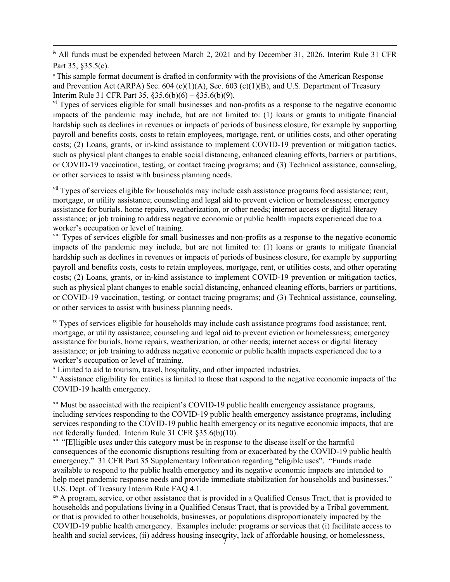iv All funds must be expended between March 2, 2021 and by December 31, 2026. Interim Rule 31 CFR Part 35, §35.5(c).

<sup>v</sup> This sample format document is drafted in conformity with the provisions of the American Response and Prevention Act (ARPA) Sec. 604 (c)(1)(A), Sec. 603 (c)(1)(B), and U.S. Department of Treasury Interim Rule 31 CFR Part 35,  $§35.6(b)(6) - §35.6(b)(9)$ .

<sup>vi</sup> Types of services eligible for small businesses and non-profits as a response to the negative economic impacts of the pandemic may include, but are not limited to: (1) loans or grants to mitigate financial hardship such as declines in revenues or impacts of periods of business closure, for example by supporting payroll and benefits costs, costs to retain employees, mortgage, rent, or utilities costs, and other operating costs; (2) Loans, grants, or in-kind assistance to implement COVID-19 prevention or mitigation tactics, such as physical plant changes to enable social distancing, enhanced cleaning efforts, barriers or partitions, or COVID-19 vaccination, testing, or contact tracing programs; and (3) Technical assistance, counseling, or other services to assist with business planning needs.

<sup>vii</sup> Types of services eligible for households may include cash assistance programs food assistance; rent, mortgage, or utility assistance; counseling and legal aid to prevent eviction or homelessness; emergency assistance for burials, home repairs, weatherization, or other needs; internet access or digital literacy assistance; or job training to address negative economic or public health impacts experienced due to a worker's occupation or level of training.

<sup>viii</sup> Types of services eligible for small businesses and non-profits as a response to the negative economic impacts of the pandemic may include, but are not limited to: (1) loans or grants to mitigate financial hardship such as declines in revenues or impacts of periods of business closure, for example by supporting payroll and benefits costs, costs to retain employees, mortgage, rent, or utilities costs, and other operating costs; (2) Loans, grants, or in-kind assistance to implement COVID-19 prevention or mitigation tactics, such as physical plant changes to enable social distancing, enhanced cleaning efforts, barriers or partitions, or COVID-19 vaccination, testing, or contact tracing programs; and (3) Technical assistance, counseling, or other services to assist with business planning needs.

 $\frac{1}{x}$  Types of services eligible for households may include cash assistance programs food assistance; rent, mortgage, or utility assistance; counseling and legal aid to prevent eviction or homelessness; emergency assistance for burials, home repairs, weatherization, or other needs; internet access or digital literacy assistance; or job training to address negative economic or public health impacts experienced due to a worker's occupation or level of training.

x Limited to aid to tourism, travel, hospitality, and other impacted industries.

<sup>xi</sup> Assistance eligibility for entities is limited to those that respond to the negative economic impacts of the COVID-19 health emergency.

 $\frac{x_{ii}}{x_{ii}}$  Must be associated with the recipient's COVID-19 public health emergency assistance programs, including services responding to the COVID-19 public health emergency assistance programs, including services responding to the COVID-19 public health emergency or its negative economic impacts, that are not federally funded. Interim Rule 31 CFR §35.6(b)(10).

<sup>xiii</sup> "[E]ligible uses under this category must be in response to the disease itself or the harmful consequences of the economic disruptions resulting from or exacerbated by the COVID-19 public health emergency." 31 CFR Part 35 Supplementary Information regarding "eligible uses". "Funds made available to respond to the public health emergency and its negative economic impacts are intended to help meet pandemic response needs and provide immediate stabilization for households and businesses." U.S. Dept. of Treasury Interim Rule FAQ 4.1.

health and social services, (ii) address housing insecurity, lack of affordable housing, or homelessness, xiv A program, service, or other assistance that is provided in a Qualified Census Tract, that is provided to households and populations living in a Qualified Census Tract, that is provided by a Tribal government, or that is provided to other households, businesses, or populations disproportionately impacted by the COVID-19 public health emergency. Examples include: programs or services that (i) facilitate access to